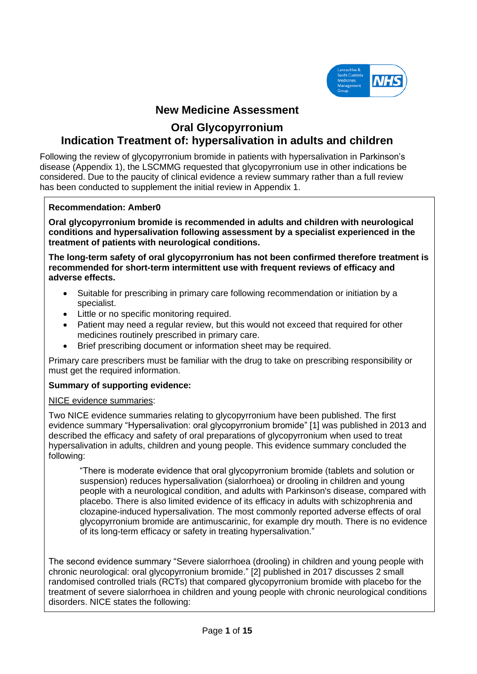

# **New Medicine Assessment**

# **Oral Glycopyrronium Indication Treatment of: hypersalivation in adults and children**

Following the review of glycopyrronium bromide in patients with hypersalivation in Parkinson's disease (Appendix 1), the LSCMMG requested that glycopyrronium use in other indications be considered. Due to the paucity of clinical evidence a review summary rather than a full review has been conducted to supplement the initial review in Appendix 1.

### **Recommendation: Amber0**

**Oral glycopyrronium bromide is recommended in adults and children with neurological conditions and hypersalivation following assessment by a specialist experienced in the treatment of patients with neurological conditions.** 

**The long-term safety of oral glycopyrronium has not been confirmed therefore treatment is recommended for short-term intermittent use with frequent reviews of efficacy and adverse effects.**

- Suitable for prescribing in primary care following recommendation or initiation by a specialist.
- Little or no specific monitoring required.
- Patient may need a regular review, but this would not exceed that required for other medicines routinely prescribed in primary care.
- Brief prescribing document or information sheet may be required.

Primary care prescribers must be familiar with the drug to take on prescribing responsibility or must get the required information.

# **Summary of supporting evidence:**

### NICE evidence summaries:

Two NICE evidence summaries relating to glycopyrronium have been published. The first evidence summary "Hypersalivation: oral glycopyrronium bromide" [1] was published in 2013 and described the efficacy and safety of oral preparations of glycopyrronium when used to treat hypersalivation in adults, children and young people. This evidence summary concluded the following:

"There is moderate evidence that oral glycopyrronium bromide (tablets and solution or suspension) reduces hypersalivation (sialorrhoea) or drooling in children and young people with a neurological condition, and adults with Parkinson's disease, compared with placebo. There is also limited evidence of its efficacy in adults with schizophrenia and clozapine-induced hypersalivation. The most commonly reported adverse effects of oral glycopyrronium bromide are antimuscarinic, for example dry mouth. There is no evidence of its long-term efficacy or safety in treating hypersalivation."

The second evidence summary "Severe sialorrhoea (drooling) in children and young people with chronic neurological: oral glycopyrronium bromide." [2] published in 2017 discusses 2 small randomised controlled trials (RCTs) that compared glycopyrronium bromide with placebo for the treatment of severe sialorrhoea in children and young people with chronic neurological conditions disorders. NICE states the following: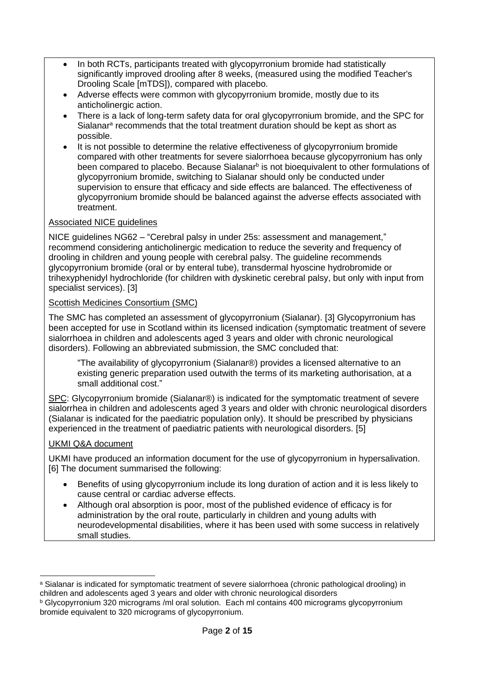- In both RCTs, participants treated with glycopyrronium bromide had statistically significantly improved drooling after 8 weeks, (measured using the modified Teacher's Drooling Scale [mTDS]), compared with placebo.
- Adverse effects were common with glycopyrronium bromide, mostly due to its anticholinergic action.
- There is a lack of long-term safety data for oral glycopyrronium bromide, and the SPC for Sialanar<sup>a</sup> recommends that the total treatment duration should be kept as short as possible.
- It is not possible to determine the relative effectiveness of glycopyrronium bromide compared with other treatments for severe sialorrhoea because glycopyrronium has only been compared to placebo. Because Sialanar<sup>b</sup> is not bioequivalent to other formulations of glycopyrronium bromide, switching to Sialanar should only be conducted under supervision to ensure that efficacy and side effects are balanced. The effectiveness of glycopyrronium bromide should be balanced against the adverse effects associated with treatment.

# Associated NICE guidelines

NICE guidelines NG62 – "Cerebral palsy in under 25s: assessment and management," recommend considering anticholinergic medication to reduce the severity and frequency of drooling in children and young people with cerebral palsy. The guideline recommends glycopyrronium bromide (oral or by enteral tube), transdermal hyoscine hydrobromide or trihexyphenidyl hydrochloride (for children with dyskinetic cerebral palsy, but only with input from specialist services). [3]

# Scottish Medicines Consortium (SMC)

The SMC has completed an assessment of glycopyrronium (Sialanar). [3] Glycopyrronium has been accepted for use in Scotland within its licensed indication (symptomatic treatment of severe sialorrhoea in children and adolescents aged 3 years and older with chronic neurological disorders). Following an abbreviated submission, the SMC concluded that:

"The availability of glycopyrronium (Sialanar®) provides a licensed alternative to an existing generic preparation used outwith the terms of its marketing authorisation, at a small additional cost."

SPC: Glycopyrronium bromide (Sialanar®) is indicated for the symptomatic treatment of severe sialorrhea in children and adolescents aged 3 years and older with chronic neurological disorders (Sialanar is indicated for the paediatric population only). It should be prescribed by physicians experienced in the treatment of paediatric patients with neurological disorders. [5]

# UKMI Q&A document

UKMI have produced an information document for the use of glycopyrronium in hypersalivation. [6] The document summarised the following:

- Benefits of using glycopyrronium include its long duration of action and it is less likely to cause central or cardiac adverse effects.
- Although oral absorption is poor, most of the published evidence of efficacy is for administration by the oral route, particularly in children and young adults with neurodevelopmental disabilities, where it has been used with some success in relatively small studies.

<sup>a</sup> Sialanar is indicated for symptomatic treatment of severe sialorrhoea (chronic pathological drooling) in children and adolescents aged 3 years and older with chronic neurological disorders

<sup>b</sup> Glycopyrronium 320 micrograms /ml oral solution. Each ml contains 400 micrograms glycopyrronium bromide equivalent to 320 micrograms of glycopyrronium.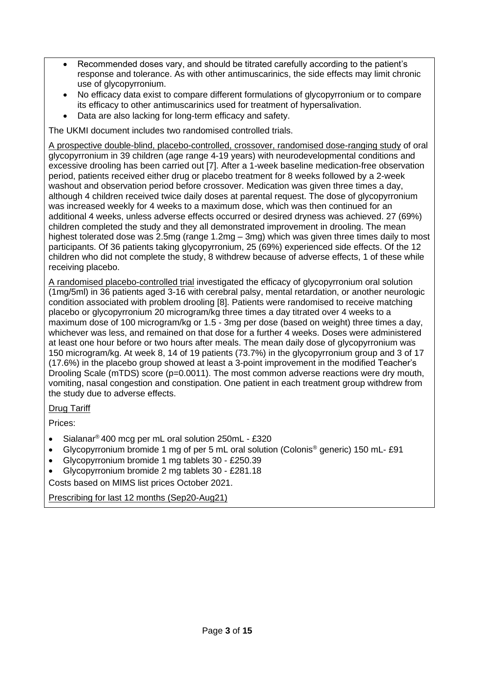- Recommended doses vary, and should be titrated carefully according to the patient's response and tolerance. As with other antimuscarinics, the side effects may limit chronic use of glycopyrronium.
- No efficacy data exist to compare different formulations of glycopyrronium or to compare its efficacy to other antimuscarinics used for treatment of hypersalivation.
- Data are also lacking for long-term efficacy and safety.

The UKMI document includes two randomised controlled trials.

A prospective double-blind, placebo-controlled, crossover, randomised dose-ranging study of oral glycopyrronium in 39 children (age range 4-19 years) with neurodevelopmental conditions and excessive drooling has been carried out [7]. After a 1-week baseline medication-free observation period, patients received either drug or placebo treatment for 8 weeks followed by a 2-week washout and observation period before crossover. Medication was given three times a day, although 4 children received twice daily doses at parental request. The dose of glycopyrronium was increased weekly for 4 weeks to a maximum dose, which was then continued for an additional 4 weeks, unless adverse effects occurred or desired dryness was achieved. 27 (69%) children completed the study and they all demonstrated improvement in drooling. The mean highest tolerated dose was 2.5mg (range 1.2mg – 3mg) which was given three times daily to most participants. Of 36 patients taking glycopyrronium, 25 (69%) experienced side effects. Of the 12 children who did not complete the study, 8 withdrew because of adverse effects, 1 of these while receiving placebo.

A randomised placebo-controlled trial investigated the efficacy of glycopyrronium oral solution (1mg/5ml) in 36 patients aged 3-16 with cerebral palsy, mental retardation, or another neurologic condition associated with problem drooling [8]. Patients were randomised to receive matching placebo or glycopyrronium 20 microgram/kg three times a day titrated over 4 weeks to a maximum dose of 100 microgram/kg or 1.5 - 3mg per dose (based on weight) three times a day, whichever was less, and remained on that dose for a further 4 weeks. Doses were administered at least one hour before or two hours after meals. The mean daily dose of glycopyrronium was 150 microgram/kg. At week 8, 14 of 19 patients (73.7%) in the glycopyrronium group and 3 of 17 (17.6%) in the placebo group showed at least a 3-point improvement in the modified Teacher's Drooling Scale (mTDS) score (p=0.0011). The most common adverse reactions were dry mouth, vomiting, nasal congestion and constipation. One patient in each treatment group withdrew from the study due to adverse effects.

# Drug Tariff

Prices:

- Sialanar® 400 mcg per mL oral solution 250mL £320
- Glycopyrronium bromide 1 mg of per 5 mL oral solution (Colonis® generic) 150 mL- £91
- Glycopyrronium bromide 1 mg tablets 30 £250.39
- Glycopyrronium bromide 2 mg tablets 30 £281.18

Costs based on MIMS list prices October 2021.

Prescribing for last 12 months (Sep20-Aug21)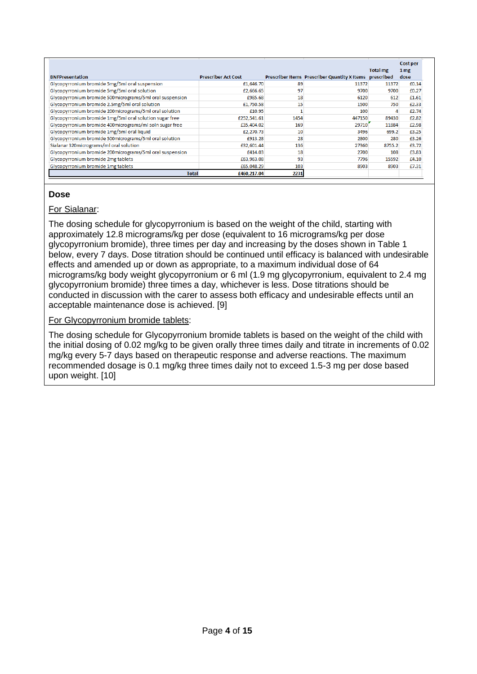| <b>BNFPresentation</b>                                   | <b>Prescriber Act Cost</b> |      | Prescriber Items Prescriber Quantity X Items prescribed | <b>Total mg</b> | Cost per<br>1 mg<br>dose |
|----------------------------------------------------------|----------------------------|------|---------------------------------------------------------|-----------------|--------------------------|
| Glycopyrronium bromide 5mg/5ml oral suspension           | £1,646.70                  | 89   | 11372                                                   | 11372           | £0.14                    |
| Glycopyrronium bromide 5mg/5ml oral solution             | £2,666.65                  | 97   | 9700                                                    | 9700            | £0.27                    |
| Glycopyrronium bromide 500micrograms/5ml oral suspension | £985.68                    | 18   | 6120                                                    | 612             | £1.61                    |
| Glycopyrronium bromide 2.5mg/5ml oral solution           | £1,750.58                  | 15   | 1500                                                    | 750             | £2.33                    |
| Glycopyrronium bromide 200micrograms/5ml oral solution   | £10.95                     |      | 100                                                     |                 | £2.74                    |
| Glycopyrronium bromide 1mg/5ml oral solution sugar free  | £252,541.61                | 1454 | 447150                                                  | 89430           | £2.82                    |
| Glycopyrronium bromide 400micrograms/ml soln sugar free  | £35,404.02                 | 169  | 29710                                                   | 11884           | £2.98                    |
| Glycopyrronium bromide 1mg/5ml oral liquid               | £2,270.73                  | 10   | 3496                                                    | 699.2           | £3.25                    |
| Glycopyrronium bromide 500micrograms/5ml oral solution   | £913.28                    | 28   | 2800                                                    | 280             | £3.26                    |
| Sialanar 320micrograms/ml oral solution                  | £32,601.44                 | 136  | 27360                                                   | 8755.2          | £3.72                    |
| Glycopyrronium bromide 200micrograms/5ml oral suspension | £414.03                    | 18   | 2700                                                    | 108             | £3.83                    |
| Glycopyrronium bromide 2mg tablets                       | £63,963.08                 | 93   | 7796                                                    | 15592           | £4.10                    |
| Glycopyrronium bromide 1mg tablets                       | £65,048.29                 | 103  | 8903                                                    | 8903            | £7.31                    |
| Total                                                    | £460,217.04                | 2231 |                                                         |                 |                          |

# **Dose**

# For Sialanar:

The dosing schedule for glycopyrronium is based on the weight of the child, starting with approximately 12.8 micrograms/kg per dose (equivalent to 16 micrograms/kg per dose glycopyrronium bromide), three times per day and increasing by the doses shown in Table 1 below, every 7 days. Dose titration should be continued until efficacy is balanced with undesirable effects and amended up or down as appropriate, to a maximum individual dose of 64 micrograms/kg body weight glycopyrronium or 6 ml (1.9 mg glycopyrronium, equivalent to 2.4 mg glycopyrronium bromide) three times a day, whichever is less. Dose titrations should be conducted in discussion with the carer to assess both efficacy and undesirable effects until an acceptable maintenance dose is achieved. [9]

# For Glycopyrronium bromide tablets:

The dosing schedule for Glycopyrronium bromide tablets is based on the weight of the child with the initial dosing of 0.02 mg/kg to be given orally three times daily and titrate in increments of 0.02 mg/kg every 5-7 days based on therapeutic response and adverse reactions. The maximum recommended dosage is 0.1 mg/kg three times daily not to exceed 1.5-3 mg per dose based upon weight. [10]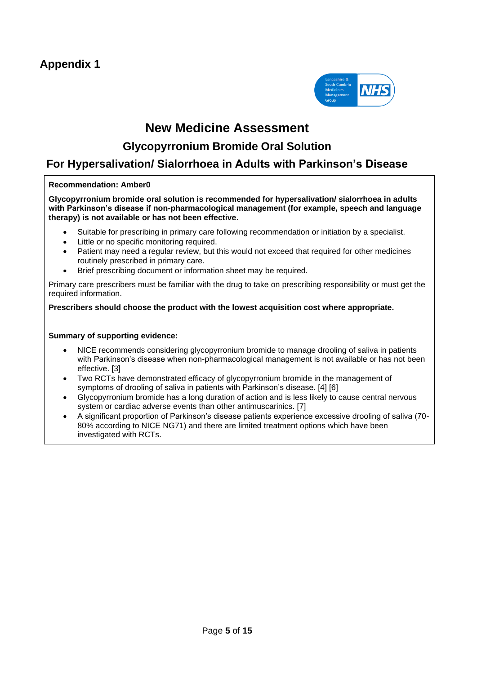

# **New Medicine Assessment**

# **Glycopyrronium Bromide Oral Solution**

# **For Hypersalivation/ Sialorrhoea in Adults with Parkinson's Disease**

### **Recommendation: Amber0**

**Glycopyrronium bromide oral solution is recommended for hypersalivation/ sialorrhoea in adults with Parkinson's disease if non-pharmacological management (for example, speech and language therapy) is not available or has not been effective.**

- Suitable for prescribing in primary care following recommendation or initiation by a specialist.
- Little or no specific monitoring required.
- Patient may need a regular review, but this would not exceed that required for other medicines routinely prescribed in primary care.
- Brief prescribing document or information sheet may be required.

Primary care prescribers must be familiar with the drug to take on prescribing responsibility or must get the required information.

### **Prescribers should choose the product with the lowest acquisition cost where appropriate.**

### **Summary of supporting evidence:**

- NICE recommends considering glycopyrronium bromide to manage drooling of saliva in patients with Parkinson's disease when non-pharmacological management is not available or has not been effective. [3]
- Two RCTs have demonstrated efficacy of glycopyrronium bromide in the management of symptoms of drooling of saliva in patients with Parkinson's disease. [4] [6]
- Glycopyrronium bromide has a long duration of action and is less likely to cause central nervous system or cardiac adverse events than other antimuscarinics. [7]
- A significant proportion of Parkinson's disease patients experience excessive drooling of saliva (70- 80% according to NICE NG71) and there are limited treatment options which have been investigated with RCTs.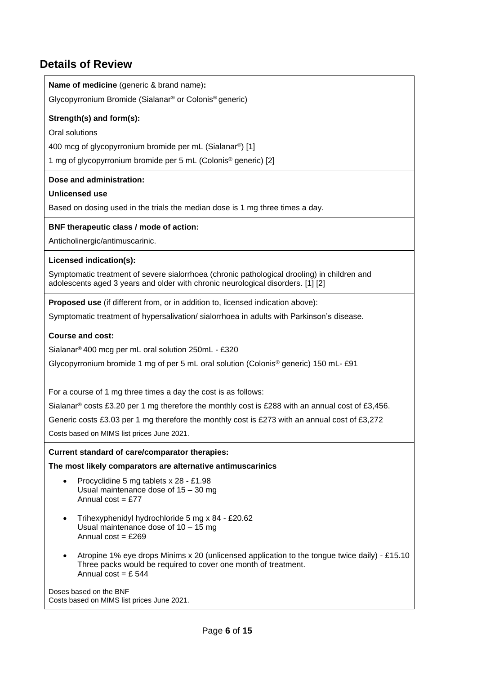# **Details of Review**

**Name of medicine** (generic & brand name)**:** 

Glycopyrronium Bromide (Sialanar® or Colonis® generic)

### **Strength(s) and form(s):**

Oral solutions

400 mcg of glycopyrronium bromide per mL (Sialanar®) [1]

1 mg of glycopyrronium bromide per 5 mL (Colonis® generic) [2]

### **Dose and administration:**

### **Unlicensed use**

Based on dosing used in the trials the median dose is 1 mg three times a day.

### **BNF therapeutic class / mode of action:**

Anticholinergic/antimuscarinic.

### **Licensed indication(s):**

Symptomatic treatment of severe sialorrhoea (chronic pathological drooling) in children and adolescents aged 3 years and older with chronic neurological disorders. [1] [2]

**Proposed use** (if different from, or in addition to, licensed indication above):

Symptomatic treatment of hypersalivation/ sialorrhoea in adults with Parkinson's disease.

### **Course and cost:**

Sialanar® 400 mcg per mL oral solution 250mL - £320

Glycopyrronium bromide 1 mg of per 5 mL oral solution (Colonis® generic) 150 mL- £91

For a course of 1 mg three times a day the cost is as follows:

Sialanar® costs £3.20 per 1 mg therefore the monthly cost is £288 with an annual cost of £3,456.

Generic costs £3.03 per 1 mg therefore the monthly cost is £273 with an annual cost of £3,272

Costs based on MIMS list prices June 2021.

**Current standard of care/comparator therapies:** 

**The most likely comparators are alternative antimuscarinics**

- Procyclidine 5 mg tablets x 28 £1.98 Usual maintenance dose of 15 – 30 mg Annual  $cost = f.77$
- Trihexyphenidyl hydrochloride 5 mg x 84 £20.62 Usual maintenance dose of 10 – 15 mg Annual  $cost = £269$
- Atropine 1% eye drops Minims x 20 (unlicensed application to the tongue twice daily) £15.10 Three packs would be required to cover one month of treatment. Annual  $\cos t = f$  544

Doses based on the BNF Costs based on MIMS list prices June 2021.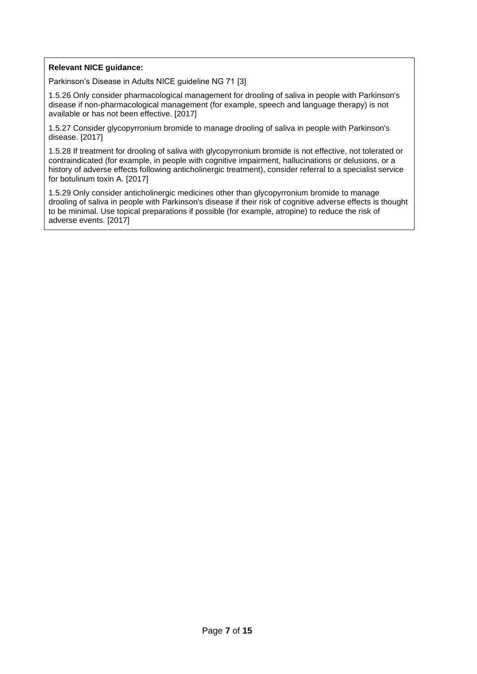### **Relevant NICE guidance:**

Parkinson's Disease in Adults NICE guideline NG 71 [3]

1.5.26 Only consider pharmacological management for drooling of saliva in people with Parkinson's disease if non-pharmacological management (for example, speech and language therapy) is not available or has not been effective. [2017]

1.5.27 Consider glycopyrronium bromide to manage drooling of saliva in people with Parkinson's disease. [2017]

1.5.28 If treatment for drooling of saliva with glycopyrronium bromide is not effective, not tolerated or contraindicated (for example, in people with cognitive impairment, hallucinations or delusions, or a history of adverse effects following anticholinergic treatment), consider referral to a specialist service for botulinum toxin A. [2017]

1.5.29 Only consider anticholinergic medicines other than glycopyrronium bromide to manage drooling of saliva in people with Parkinson's disease if their risk of cognitive adverse effects is thought to be minimal. Use topical preparations if possible (for example, atropine) to reduce the risk of adverse events. [2017]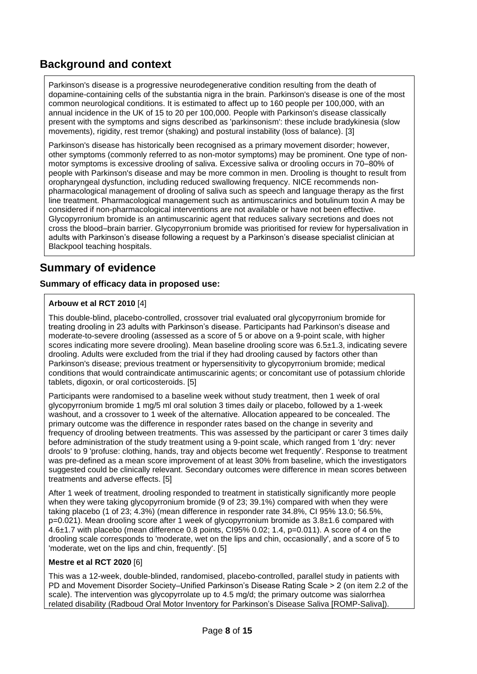# **Background and context**

Parkinson's disease is a progressive neurodegenerative condition resulting from the death of dopamine-containing cells of the substantia nigra in the brain. Parkinson's disease is one of the most common neurological conditions. It is estimated to affect up to 160 people per 100,000, with an annual incidence in the UK of 15 to 20 per 100,000. People with Parkinson's disease classically present with the symptoms and signs described as 'parkinsonism': these include bradykinesia (slow movements), rigidity, rest tremor (shaking) and postural instability (loss of balance). [3]

Parkinson's disease has historically been recognised as a primary movement disorder; however, other symptoms (commonly referred to as non-motor symptoms) may be prominent. One type of nonmotor symptoms is excessive drooling of saliva. Excessive saliva or drooling occurs in 70–80% of people with Parkinson's disease and may be more common in men. Drooling is thought to result from oropharyngeal dysfunction, including reduced swallowing frequency. NICE recommends nonpharmacological management of drooling of saliva such as speech and language therapy as the first line treatment. Pharmacological management such as antimuscarinics and botulinum toxin A may be considered if non-pharmacological interventions are not available or have not been effective. Glycopyrronium bromide is an antimuscarinic agent that reduces salivary secretions and does not cross the blood–brain barrier. Glycopyrronium bromide was prioritised for review for hypersalivation in adults with Parkinson's disease following a request by a Parkinson's disease specialist clinician at Blackpool teaching hospitals.

# **Summary of evidence**

# **Summary of efficacy data in proposed use:**

### **Arbouw et al RCT 2010** [4]

This double-blind, placebo-controlled, crossover trial evaluated oral glycopyrronium bromide for treating drooling in 23 adults with Parkinson's disease. Participants had Parkinson's disease and moderate-to-severe drooling (assessed as a score of 5 or above on a 9-point scale, with higher scores indicating more severe drooling). Mean baseline drooling score was 6.5±1.3, indicating severe drooling. Adults were excluded from the trial if they had drooling caused by factors other than Parkinson's disease; previous treatment or hypersensitivity to glycopyrronium bromide; medical conditions that would contraindicate antimuscarinic agents; or concomitant use of potassium chloride tablets, digoxin, or oral corticosteroids. [5]

Participants were randomised to a baseline week without study treatment, then 1 week of oral glycopyrronium bromide 1 mg/5 ml oral solution 3 times daily or placebo, followed by a 1-week washout, and a crossover to 1 week of the alternative. Allocation appeared to be concealed. The primary outcome was the difference in responder rates based on the change in severity and frequency of drooling between treatments. This was assessed by the participant or carer 3 times daily before administration of the study treatment using a 9-point scale, which ranged from 1 'dry: never drools' to 9 'profuse: clothing, hands, tray and objects become wet frequently'. Response to treatment was pre-defined as a mean score improvement of at least 30% from baseline, which the investigators suggested could be clinically relevant. Secondary outcomes were difference in mean scores between treatments and adverse effects. [5]

After 1 week of treatment, drooling responded to treatment in statistically significantly more people when they were taking glycopyrronium bromide (9 of 23; 39.1%) compared with when they were taking placebo (1 of 23; 4.3%) (mean difference in responder rate 34.8%, CI 95% 13.0; 56.5%, p=0.021). Mean drooling score after 1 week of glycopyrronium bromide as 3.8±1.6 compared with  $4.6\pm1.7$  with placebo (mean difference 0.8 points, CI95% 0.02; 1.4, p=0.011). A score of 4 on the drooling scale corresponds to 'moderate, wet on the lips and chin, occasionally', and a score of 5 to 'moderate, wet on the lips and chin, frequently'. [5]

### **Mestre et al RCT 2020** [6]

This was a 12-week, double-blinded, randomised, placebo-controlled, parallel study in patients with PD and Movement Disorder Society–Unified Parkinson's Disease Rating Scale > 2 (on item 2.2 of the scale). The intervention was glycopyrrolate up to 4.5 mg/d; the primary outcome was sialorrhea related disability (Radboud Oral Motor Inventory for Parkinson's Disease Saliva [ROMP-Saliva]).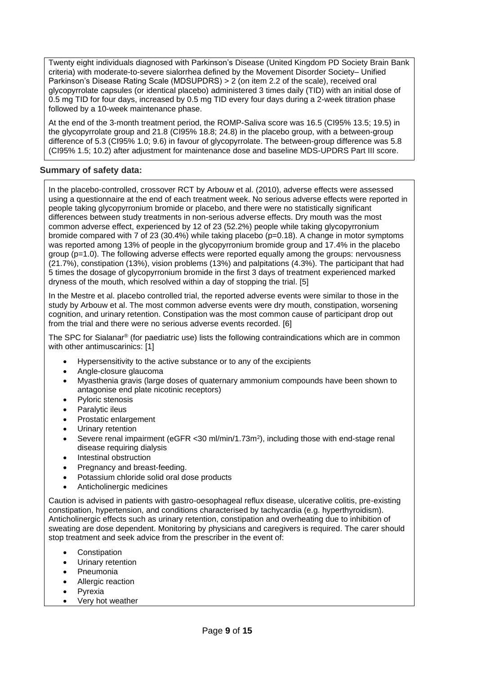Twenty eight individuals diagnosed with Parkinson's Disease (United Kingdom PD Society Brain Bank criteria) with moderate-to-severe sialorrhea defined by the Movement Disorder Society– Unified Parkinson's Disease Rating Scale (MDSUPDRS) > 2 (on item 2.2 of the scale), received oral glycopyrrolate capsules (or identical placebo) administered 3 times daily (TID) with an initial dose of 0.5 mg TID for four days, increased by 0.5 mg TID every four days during a 2-week titration phase followed by a 10-week maintenance phase.

At the end of the 3-month treatment period, the ROMP-Saliva score was 16.5 (CI95% 13.5; 19.5) in the glycopyrrolate group and 21.8 (CI95% 18.8; 24.8) in the placebo group, with a between-group difference of 5.3 (CI95% 1.0; 9.6) in favour of glycopyrrolate. The between-group difference was 5.8 (CI95% 1.5; 10.2) after adjustment for maintenance dose and baseline MDS-UPDRS Part III score.

# **Summary of safety data:**

In the placebo-controlled, crossover RCT by Arbouw et al. (2010), adverse effects were assessed using a questionnaire at the end of each treatment week. No serious adverse effects were reported in people taking glycopyrronium bromide or placebo, and there were no statistically significant differences between study treatments in non-serious adverse effects. Dry mouth was the most common adverse effect, experienced by 12 of 23 (52.2%) people while taking glycopyrronium bromide compared with 7 of 23 (30.4%) while taking placebo (p=0.18). A change in motor symptoms was reported among 13% of people in the glycopyrronium bromide group and 17.4% in the placebo group (p=1.0). The following adverse effects were reported equally among the groups: nervousness (21.7%), constipation (13%), vision problems (13%) and palpitations (4.3%). The participant that had 5 times the dosage of glycopyrronium bromide in the first 3 days of treatment experienced marked dryness of the mouth, which resolved within a day of stopping the trial. [5]

In the Mestre et al. placebo controlled trial, the reported adverse events were similar to those in the study by Arbouw et al. The most common adverse events were dry mouth, constipation, worsening cognition, and urinary retention. Constipation was the most common cause of participant drop out from the trial and there were no serious adverse events recorded. [6]

The SPC for Sialanar® (for paediatric use) lists the following contraindications which are in common with other antimuscarinics: [1]

- Hypersensitivity to the active substance or to any of the excipients
- Angle-closure glaucoma
- Myasthenia gravis (large doses of quaternary ammonium compounds have been shown to antagonise end plate nicotinic receptors)
- Pyloric stenosis
- Paralytic ileus
- Prostatic enlargement
- Urinary retention
- Severe renal impairment (eGFR < 30 ml/min/1.73m<sup>2</sup>), including those with end-stage renal disease requiring dialysis
- Intestinal obstruction
- Pregnancy and breast-feeding.
- Potassium chloride solid oral dose products
- Anticholinergic medicines

Caution is advised in patients with gastro-oesophageal reflux disease, ulcerative colitis, pre-existing constipation, hypertension, and conditions characterised by tachycardia (e.g. hyperthyroidism). Anticholinergic effects such as urinary retention, constipation and overheating due to inhibition of sweating are dose dependent. Monitoring by physicians and caregivers is required. The carer should stop treatment and seek advice from the prescriber in the event of:

- **Constipation**
- Urinary retention
- **Pneumonia**
- Allergic reaction
- **Pyrexia**
- Very hot weather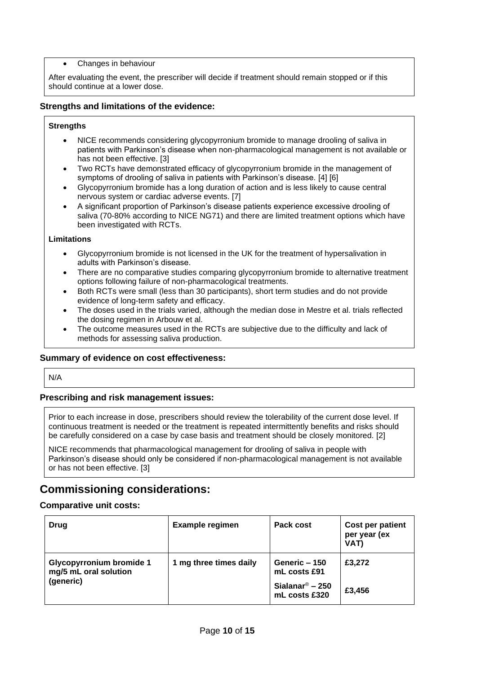• Changes in behaviour

After evaluating the event, the prescriber will decide if treatment should remain stopped or if this should continue at a lower dose.

### **Strengths and limitations of the evidence:**

#### **Strengths**

- NICE recommends considering glycopyrronium bromide to manage drooling of saliva in patients with Parkinson's disease when non-pharmacological management is not available or has not been effective. [3]
- Two RCTs have demonstrated efficacy of glycopyrronium bromide in the management of symptoms of drooling of saliva in patients with Parkinson's disease. [4] [6]
- Glycopyrronium bromide has a long duration of action and is less likely to cause central nervous system or cardiac adverse events. [7]
- A significant proportion of Parkinson's disease patients experience excessive drooling of saliva (70-80% according to NICE NG71) and there are limited treatment options which have been investigated with RCTs.

#### **Limitations**

- Glycopyrronium bromide is not licensed in the UK for the treatment of hypersalivation in adults with Parkinson's disease.
- There are no comparative studies comparing glycopyrronium bromide to alternative treatment options following failure of non-pharmacological treatments.
- Both RCTs were small (less than 30 participants), short term studies and do not provide evidence of long-term safety and efficacy.
- The doses used in the trials varied, although the median dose in Mestre et al. trials reflected the dosing regimen in Arbouw et al.
- The outcome measures used in the RCTs are subjective due to the difficulty and lack of methods for assessing saliva production.

### **Summary of evidence on cost effectiveness:**

N/A

### **Prescribing and risk management issues:**

Prior to each increase in dose, prescribers should review the tolerability of the current dose level. If continuous treatment is needed or the treatment is repeated intermittently benefits and risks should be carefully considered on a case by case basis and treatment should be closely monitored. [2]

NICE recommends that pharmacological management for drooling of saliva in people with Parkinson's disease should only be considered if non-pharmacological management is not available or has not been effective. [3]

# **Commissioning considerations:**

### **Comparative unit costs:**

| Drug                                                                  | <b>Example regimen</b> | Pack cost                                    | Cost per patient<br>per year (ex<br><b>VAT)</b> |
|-----------------------------------------------------------------------|------------------------|----------------------------------------------|-------------------------------------------------|
| <b>Glycopyrronium bromide 1</b><br>mg/5 mL oral solution<br>(generic) | 1 mg three times daily | Generic - 150<br>mL costs £91                | £3.272                                          |
|                                                                       |                        | Sialanar <sup>®</sup> – 250<br>mL costs £320 | £3.456                                          |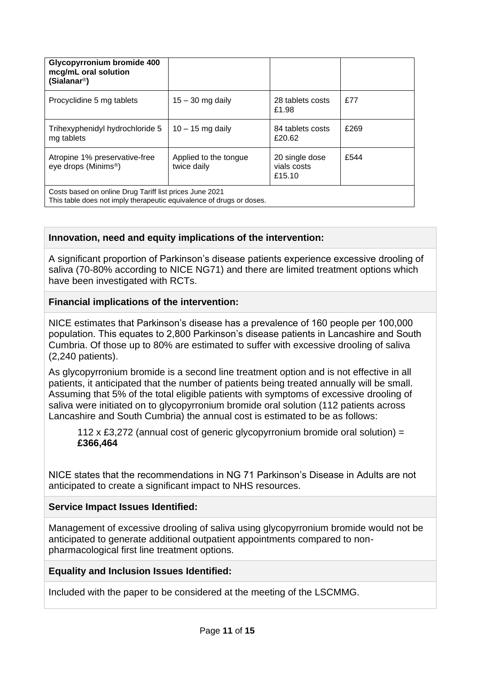| Glycopyrronium bromide 400<br>mcg/mL oral solution<br>(Sialanar <sup>®</sup> )                                                  |                                      |                                         |      |
|---------------------------------------------------------------------------------------------------------------------------------|--------------------------------------|-----------------------------------------|------|
| Procyclidine 5 mg tablets                                                                                                       | $15 - 30$ mg daily                   | 28 tablets costs<br>£1.98               | f77  |
| Trihexyphenidyl hydrochloride 5<br>mg tablets                                                                                   | $10 - 15$ mg daily                   | 84 tablets costs<br>£20.62              | £269 |
| Atropine 1% preservative-free<br>eye drops (Minims <sup>®</sup> )                                                               | Applied to the tongue<br>twice daily | 20 single dose<br>vials costs<br>£15.10 | £544 |
| Costs based on online Drug Tariff list prices June 2021<br>This table does not imply therapeutic equivalence of drugs or doses. |                                      |                                         |      |

# **Innovation, need and equity implications of the intervention:**

A significant proportion of Parkinson's disease patients experience excessive drooling of saliva (70-80% according to NICE NG71) and there are limited treatment options which have been investigated with RCTs.

# **Financial implications of the intervention:**

NICE estimates that Parkinson's disease has a prevalence of 160 people per 100,000 population. This equates to 2,800 Parkinson's disease patients in Lancashire and South Cumbria. Of those up to 80% are estimated to suffer with excessive drooling of saliva (2,240 patients).

As glycopyrronium bromide is a second line treatment option and is not effective in all patients, it anticipated that the number of patients being treated annually will be small. Assuming that 5% of the total eligible patients with symptoms of excessive drooling of saliva were initiated on to glycopyrronium bromide oral solution (112 patients across Lancashire and South Cumbria) the annual cost is estimated to be as follows:

112 x £3,272 (annual cost of generic glycopyrronium bromide oral solution) = **£366,464**

NICE states that the recommendations in NG 71 Parkinson's Disease in Adults are not anticipated to create a significant impact to NHS resources.

# **Service Impact Issues Identified:**

Management of excessive drooling of saliva using glycopyrronium bromide would not be anticipated to generate additional outpatient appointments compared to nonpharmacological first line treatment options.

# **Equality and Inclusion Issues Identified:**

Included with the paper to be considered at the meeting of the LSCMMG.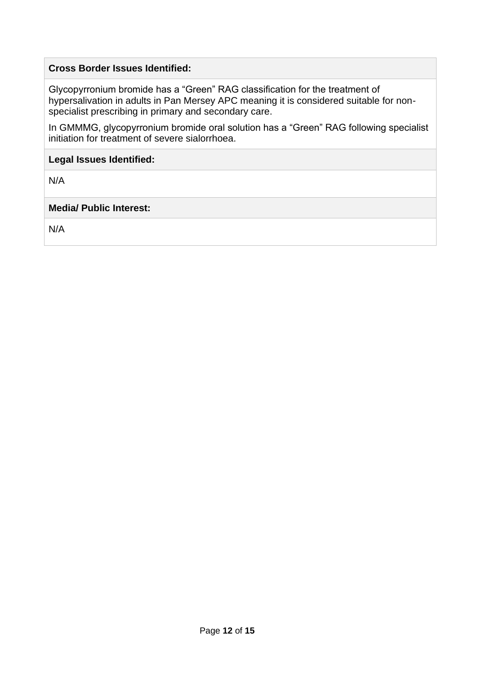# **Cross Border Issues Identified:**

Glycopyrronium bromide has a "Green" RAG classification for the treatment of hypersalivation in adults in Pan Mersey APC meaning it is considered suitable for nonspecialist prescribing in primary and secondary care.

In GMMMG, glycopyrronium bromide oral solution has a "Green" RAG following specialist initiation for treatment of severe sialorrhoea.

### **Legal Issues Identified:**

N/A

# **Media/ Public Interest:**

N/A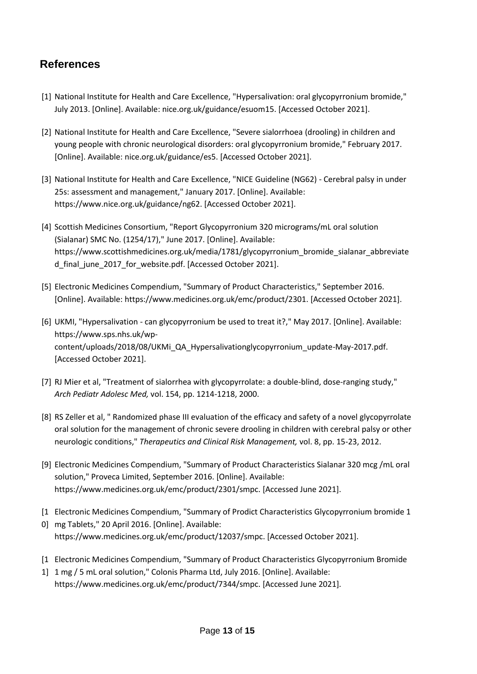# **References**

- [1] National Institute for Health and Care Excellence, "Hypersalivation: oral glycopyrronium bromide," July 2013. [Online]. Available: nice.org.uk/guidance/esuom15. [Accessed October 2021].
- [2] National Institute for Health and Care Excellence, "Severe sialorrhoea (drooling) in children and young people with chronic neurological disorders: oral glycopyrronium bromide," February 2017. [Online]. Available: nice.org.uk/guidance/es5. [Accessed October 2021].
- [3] National Institute for Health and Care Excellence, "NICE Guideline (NG62) Cerebral palsy in under 25s: assessment and management," January 2017. [Online]. Available: https://www.nice.org.uk/guidance/ng62. [Accessed October 2021].
- [4] Scottish Medicines Consortium, "Report Glycopyrronium 320 micrograms/mL oral solution (Sialanar) SMC No. (1254/17)," June 2017. [Online]. Available: https://www.scottishmedicines.org.uk/media/1781/glycopyrronium\_bromide\_sialanar\_abbreviate d\_final\_june\_2017\_for\_website.pdf. [Accessed October 2021].
- [5] Electronic Medicines Compendium, "Summary of Product Characteristics," September 2016. [Online]. Available: https://www.medicines.org.uk/emc/product/2301. [Accessed October 2021].
- [6] UKMI, "Hypersalivation can glycopyrronium be used to treat it?," May 2017. [Online]. Available: https://www.sps.nhs.uk/wpcontent/uploads/2018/08/UKMi\_QA\_Hypersalivationglycopyrronium\_update-May-2017.pdf. [Accessed October 2021].
- [7] RJ Mier et al, "Treatment of sialorrhea with glycopyrrolate: a double-blind, dose-ranging study," *Arch Pediatr Adolesc Med,* vol. 154, pp. 1214-1218, 2000.
- [8] RS Zeller et al, " Randomized phase III evaluation of the efficacy and safety of a novel glycopyrrolate oral solution for the management of chronic severe drooling in children with cerebral palsy or other neurologic conditions," *Therapeutics and Clinical Risk Management,* vol. 8, pp. 15-23, 2012.
- [9] Electronic Medicines Compendium, "Summary of Product Characteristics Sialanar 320 mcg /mL oral solution," Proveca Limited, September 2016. [Online]. Available: https://www.medicines.org.uk/emc/product/2301/smpc. [Accessed June 2021].
- [1 Electronic Medicines Compendium, "Summary of Prodict Characteristics Glycopyrronium bromide 1
- 0] mg Tablets," 20 April 2016. [Online]. Available: https://www.medicines.org.uk/emc/product/12037/smpc. [Accessed October 2021].
- [1 Electronic Medicines Compendium, "Summary of Product Characteristics Glycopyrronium Bromide
- 1] 1 mg / 5 mL oral solution," Colonis Pharma Ltd, July 2016. [Online]. Available: https://www.medicines.org.uk/emc/product/7344/smpc. [Accessed June 2021].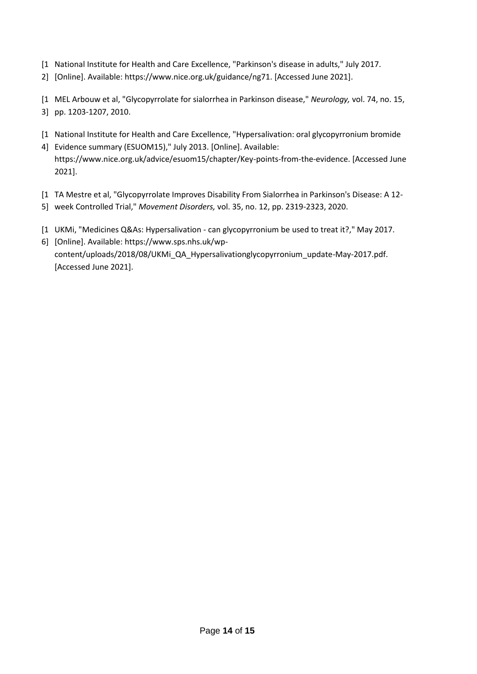- [1 National Institute for Health and Care Excellence, "Parkinson's disease in adults," July 2017.
- 2] [Online]. Available: https://www.nice.org.uk/guidance/ng71. [Accessed June 2021].
- [1 MEL Arbouw et al, "Glycopyrrolate for sialorrhea in Parkinson disease," *Neurology,* vol. 74, no. 15, 3] pp. 1203-1207, 2010.
- [1 National Institute for Health and Care Excellence, "Hypersalivation: oral glycopyrronium bromide
- 4] Evidence summary (ESUOM15)," July 2013. [Online]. Available: https://www.nice.org.uk/advice/esuom15/chapter/Key-points-from-the-evidence. [Accessed June 2021].
- [1 TA Mestre et al, "Glycopyrrolate Improves Disability From Sialorrhea in Parkinson's Disease: A 12-
- 5] week Controlled Trial," *Movement Disorders,* vol. 35, no. 12, pp. 2319-2323, 2020.
- [1 UKMi, "Medicines Q&As: Hypersalivation can glycopyrronium be used to treat it?," May 2017.
- 6] [Online]. Available: https://www.sps.nhs.uk/wpcontent/uploads/2018/08/UKMi\_QA\_Hypersalivationglycopyrronium\_update-May-2017.pdf. [Accessed June 2021].